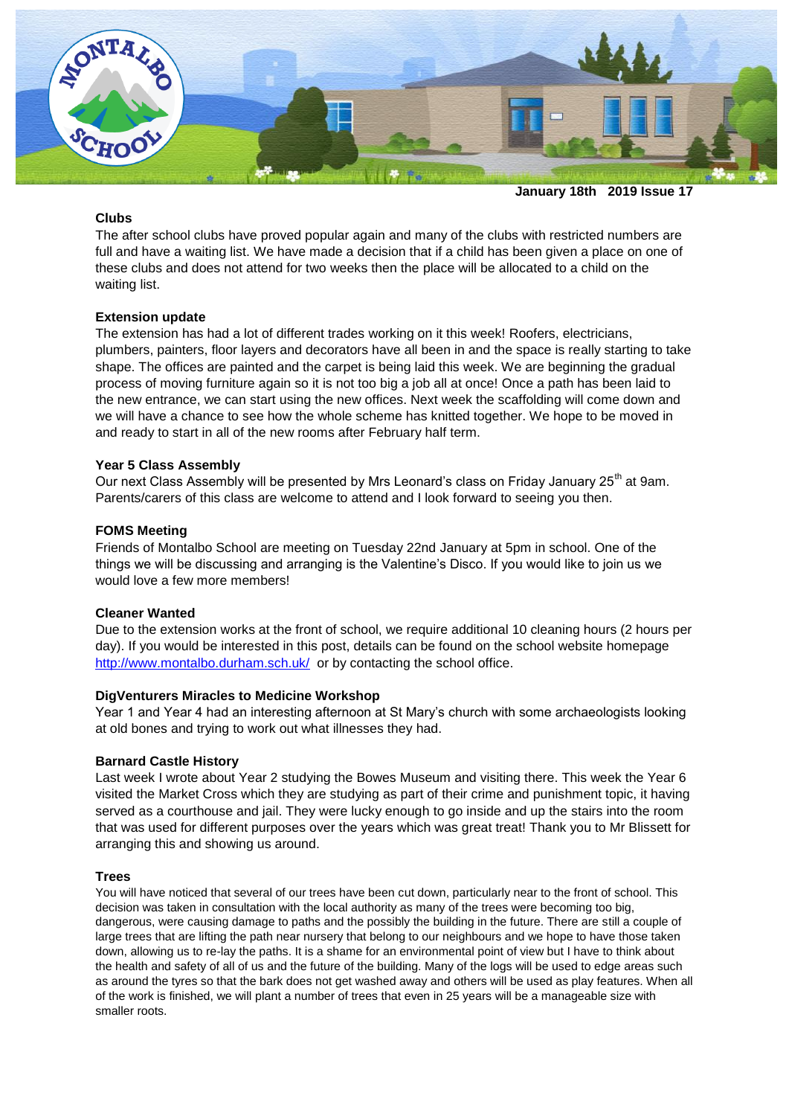

#### **January 18th 2019 Issue 17**

# **Clubs**

The after school clubs have proved popular again and many of the clubs with restricted numbers are full and have a waiting list. We have made a decision that if a child has been given a place on one of these clubs and does not attend for two weeks then the place will be allocated to a child on the waiting list.

### **Extension update**

The extension has had a lot of different trades working on it this week! Roofers, electricians, plumbers, painters, floor layers and decorators have all been in and the space is really starting to take shape. The offices are painted and the carpet is being laid this week. We are beginning the gradual process of moving furniture again so it is not too big a job all at once! Once a path has been laid to the new entrance, we can start using the new offices. Next week the scaffolding will come down and we will have a chance to see how the whole scheme has knitted together. We hope to be moved in and ready to start in all of the new rooms after February half term.

### **Year 5 Class Assembly**

Our next Class Assembly will be presented by Mrs Leonard's class on Friday January 25<sup>th</sup> at 9am. Parents/carers of this class are welcome to attend and I look forward to seeing you then.

# **FOMS Meeting**

Friends of Montalbo School are meeting on Tuesday 22nd January at 5pm in school. One of the things we will be discussing and arranging is the Valentine's Disco. If you would like to join us we would love a few more members!

### **Cleaner Wanted**

Due to the extension works at the front of school, we require additional 10 cleaning hours (2 hours per day). If you would be interested in this post, details can be found on the school website homepage <http://www.montalbo.durham.sch.uk/>or by contacting the school office.

### **DigVenturers Miracles to Medicine Workshop**

Year 1 and Year 4 had an interesting afternoon at St Mary's church with some archaeologists looking at old bones and trying to work out what illnesses they had.

### **Barnard Castle History**

Last week I wrote about Year 2 studying the Bowes Museum and visiting there. This week the Year 6 visited the Market Cross which they are studying as part of their crime and punishment topic, it having served as a courthouse and jail. They were lucky enough to go inside and up the stairs into the room that was used for different purposes over the years which was great treat! Thank you to Mr Blissett for arranging this and showing us around.

### **Trees**

You will have noticed that several of our trees have been cut down, particularly near to the front of school. This decision was taken in consultation with the local authority as many of the trees were becoming too big, dangerous, were causing damage to paths and the possibly the building in the future. There are still a couple of large trees that are lifting the path near nursery that belong to our neighbours and we hope to have those taken down, allowing us to re-lay the paths. It is a shame for an environmental point of view but I have to think about the health and safety of all of us and the future of the building. Many of the logs will be used to edge areas such as around the tyres so that the bark does not get washed away and others will be used as play features. When all of the work is finished, we will plant a number of trees that even in 25 years will be a manageable size with smaller roots.